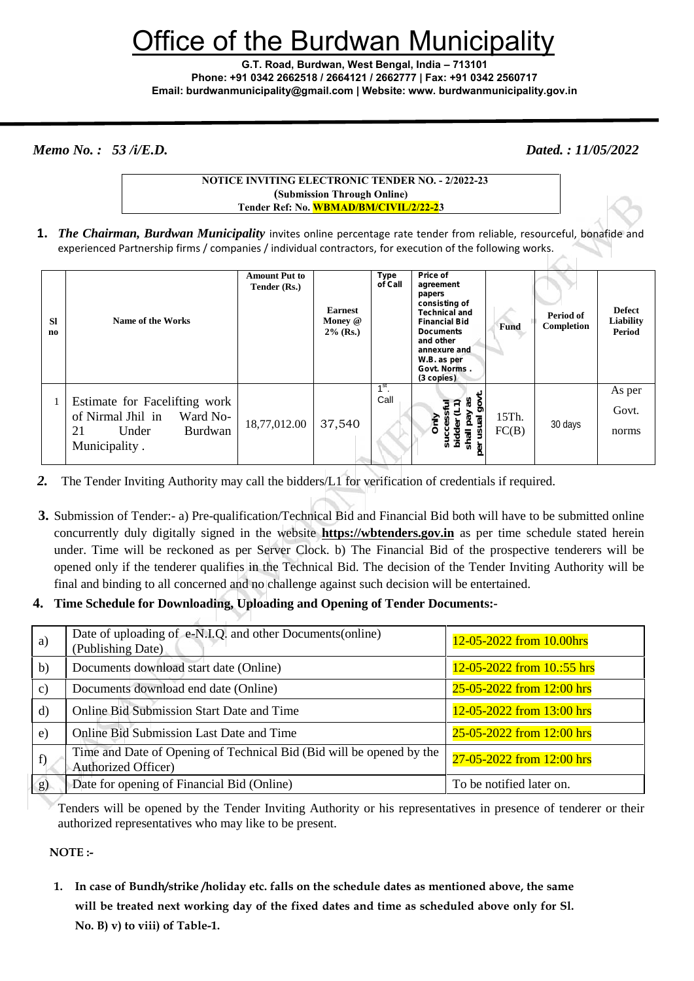# ffice of the Burdwan Municipality

**G.T. Road, Burdwan, West Bengal, India – 713101 Phone: +91 0342 2662518 / 2664121 / 2662777 | Fax: +91 0342 2560717 Email: burdwanmunicipality@gmail.com | Website: www. burdwanmunicipality.gov.in**

*Memo No. : 53 /i/E.D. Dated. : 11/05/2022*

**NOTICE INVITING ELECTRONIC TENDER NO. - 2/2022-23 (Submission Through Online) Tender Ref: No. WBMAD/BM/CIVIL/2/22-23**

**1.** *The Chairman, Burdwan Municipality* invites online percentage rate tender from reliable, resourceful, bonafide and experienced Partnership firms / companies / individual contractors, for execution of the following works.

| <b>SI</b><br>no | Name of the Works                                                                                                | <b>Amount Put to</b><br>Tender (Rs.) | <b>Earnest</b><br>Money @<br>$2\%$ (Rs.) | Type<br>of Call | Price of<br>agreement<br>papers<br>consisting of<br><b>Technical and</b><br><b>Financial Bid</b><br><b>Documents</b><br>and other<br>annexure and<br>W.B. as per<br>Govt. Norms.<br>(3 copies) | <b>Fund</b>    | Period of<br>Completion | <b>Defect</b><br>Liability<br>Period |
|-----------------|------------------------------------------------------------------------------------------------------------------|--------------------------------------|------------------------------------------|-----------------|------------------------------------------------------------------------------------------------------------------------------------------------------------------------------------------------|----------------|-------------------------|--------------------------------------|
|                 | Estimate for Facelifting work<br>of Nirmal Jhil in<br>Ward No-<br>21<br>Under<br><b>Burdwan</b><br>Municipality. | 18,77,012.00                         | 37,540                                   | $1st$ .<br>Call | န္တ<br>ಸ<br>shal<br>នីដី<br>৯                                                                                                                                                                  | 15Th.<br>FC(B) | 30 days                 | As per<br>Govt.<br>norms             |

- *2.* The Tender Inviting Authority may call the bidders/L1 for verification of credentials if required.
- **3.** Submission of Tender:- a) Pre-qualification/Technical Bid and Financial Bid both will have to be submitted online concurrently duly digitally signed in the website **https://wbtenders.gov.in** as per time schedule stated herein under. Time will be reckoned as per Server Clock. b) The Financial Bid of the prospective tenderers will be opened only if the tenderer qualifies in the Technical Bid. The decision of the Tender Inviting Authority will be final and binding to all concerned and no challenge against such decision will be entertained.
- **4. Time Schedule for Downloading, Uploading and Opening of Tender Documents:-**

| a)            | Date of uploading of e-N.I.Q. and other Documents (online)<br>(Publishing Date)                    | 12-05-2022 from 10.00hrs   |  |  |
|---------------|----------------------------------------------------------------------------------------------------|----------------------------|--|--|
| $\mathbf{b}$  | Documents download start date (Online)                                                             | 12-05-2022 from 10.:55 hrs |  |  |
| $\mathbf{c})$ | Documents download end date (Online)                                                               | 25-05-2022 from 12:00 hrs  |  |  |
| $\rm d$       | <b>Online Bid Submission Start Date and Time</b>                                                   | 12-05-2022 from 13:00 hrs  |  |  |
| $\epsilon$ )  | <b>Online Bid Submission Last Date and Time</b>                                                    | 25-05-2022 from 12:00 hrs  |  |  |
| f             | Time and Date of Opening of Technical Bid (Bid will be opened by the<br><b>Authorized Officer)</b> | 27-05-2022 from 12:00 hrs  |  |  |
| g)            | Date for opening of Financial Bid (Online)                                                         | To be notified later on.   |  |  |

Tenders will be opened by the Tender Inviting Authority or his representatives in presence of tenderer or their authorized representatives who may like to be present.

**NOTE :-**

**1. In case of Bundh/strike /holiday etc. falls on the schedule dates as mentioned above, the same will be treated next working day of the fixed dates and time as scheduled above only for Sl. No. B) v) to viii) of Table-1.**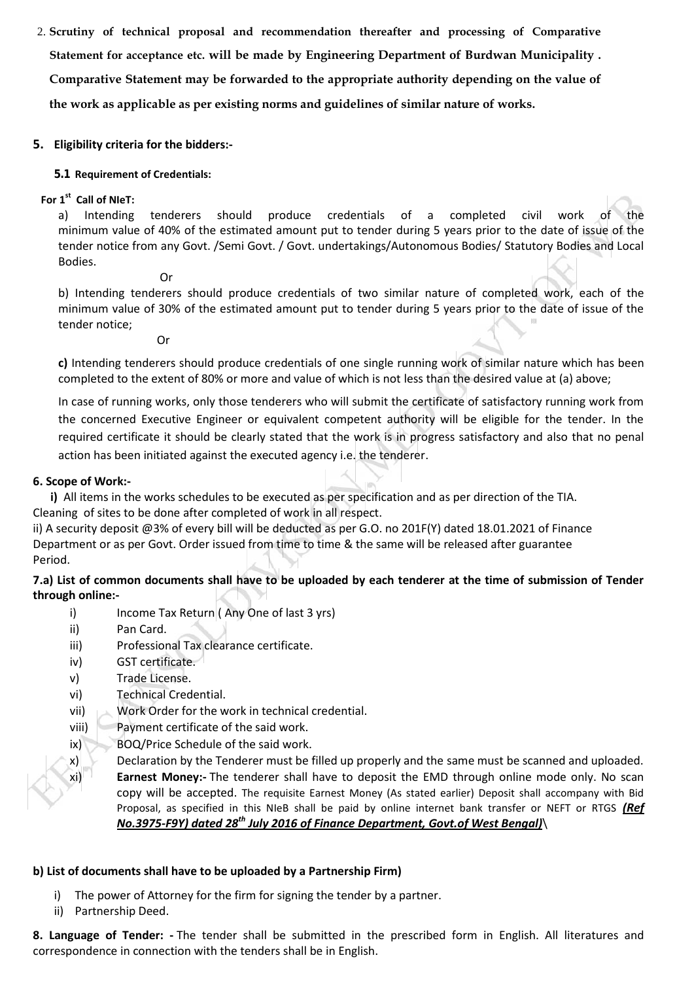2. **Scrutiny of technical proposal and recommendation thereafter and processing of Comparative Statement for acceptance etc. will be made by Engineering Department of Burdwan Municipality . Comparative Statement may be forwarded to the appropriate authority depending on the value of the work as applicable as per existing norms and guidelines of similar nature of works.**

#### **5. Eligibility criteria for the bidders:-**

#### **5.1 Requirement of Credentials:**

## **For 1 st Call of NIeT:**

a) Intending tenderers should produce credentials of a completed civil work of the minimum value of 40% of the estimated amount put to tender during 5 years prior to the date of issue of the tender notice from any Govt. /Semi Govt. / Govt. undertakings/Autonomous Bodies/ Statutory Bodies and Local Bodies.

Or

b) Intending tenderers should produce credentials of two similar nature of completed work, each of the minimum value of 30% of the estimated amount put to tender during 5 years prior to the date of issue of the tender notice;

Or

**c)** Intending tenderers should produce credentials of one single running work of similar nature which has been completed to the extent of 80% or more and value of which is not less than the desired value at (a) above;

In case of running works, only those tenderers who will submit the certificate of satisfactory running work from the concerned Executive Engineer or equivalent competent authority will be eligible for the tender. In the required certificate it should be clearly stated that the work is in progress satisfactory and also that no penal action has been initiated against the executed agency i.e. the tenderer.

#### **6. Scope of Work:-**

**i)** All items in the works schedules to be executed as per specification and as per direction of the TIA. Cleaning of sites to be done after completed of work in all respect.

ii) A security deposit @3% of every bill will be deducted as per G.O. no 201F(Y) dated 18.01.2021 of Finance Department or as per Govt. Order issued from time to time & the same will be released after guarantee Period.

## **7.a) List of common documents shall have to be uploaded by each tenderer at the time of submission of Tender through online:-**

- i) Income Tax Return (Any One of last 3 yrs)
- ii) Pan Card.
- iii) Professional Tax clearance certificate.
- iv) GST certificate.
- v) Trade License.
- vi) Technical Credential.
- vii) Work Order for the work in technical credential.
- viii) Payment certificate of the said work.
- ix) BOQ/Price Schedule of the said work.
- x) Declaration by the Tenderer must be filled up properly and the same must be scanned and uploaded. xi) **Earnest Money:-** The tenderer shall have to deposit the EMD through online mode only. No scan copy will be accepted. The requisite Earnest Money (As stated earlier) Deposit shall accompany with Bid Proposal, as specified in this NIeB shall be paid by online internet bank transfer or NEFT or RTGS *(Ref No.3975-F9Y) dated 28th July 2016 of Finance Department, Govt.of West Bengal)*\

#### **b) List of documents shall have to be uploaded by a Partnership Firm)**

- i) The power of Attorney for the firm for signing the tender by a partner.
- ii) Partnership Deed.

**8. Language of Tender: -** The tender shall be submitted in the prescribed form in English. All literatures and correspondence in connection with the tenders shall be in English.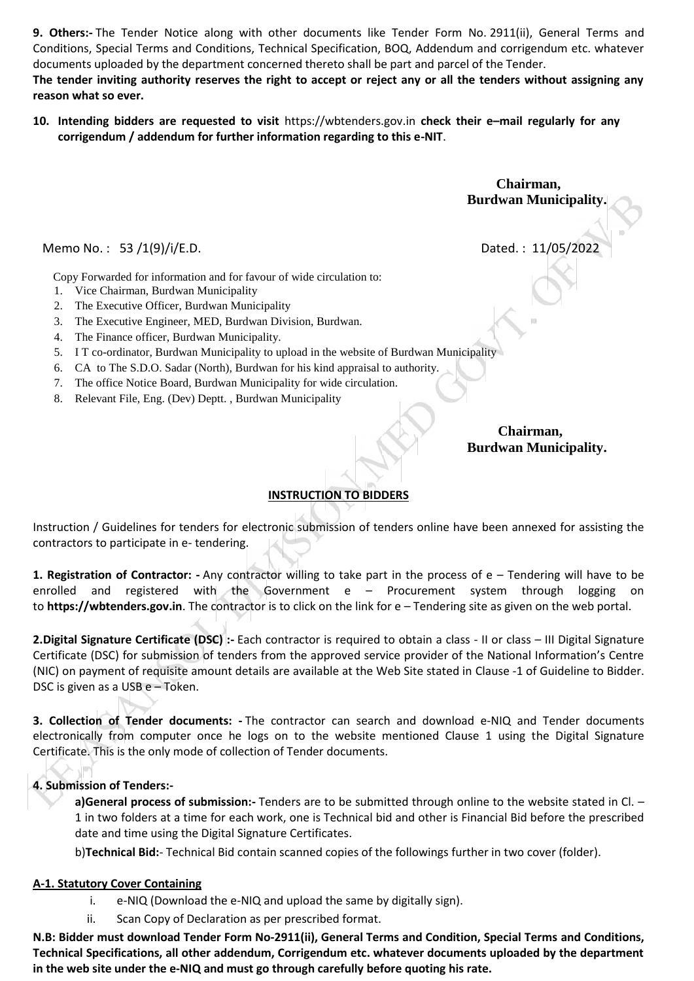**9. Others:-** The Tender Notice along with other documents like Tender Form No. 2911(ii), General Terms and Conditions, Special Terms and Conditions, Technical Specification, BOQ, Addendum and corrigendum etc. whatever documents uploaded by the department concerned thereto shall be part and parcel of the Tender.

**The tender inviting authority reserves the right to accept or reject any or all the tenders without assigning any reason what so ever.**

**10. Intending bidders are requested to visit** https://wbtenders.gov.in **check their e–mail regularly for any corrigendum / addendum for further information regarding to this e-NIT**.

Memo No.: 53 /1(9)/i/E.D. Dated.: 11/05/2022

Copy Forwarded for information and for favour of wide circulation to:

- 1. Vice Chairman, Burdwan Municipality
- 2. The Executive Officer, Burdwan Municipality
- 3. The Executive Engineer, MED, Burdwan Division, Burdwan.
- 4. The Finance officer, Burdwan Municipality.
- 5. I T co-ordinator, Burdwan Municipality to upload in the website of Burdwan Municipality
- 6. CA to The S.D.O. Sadar (North), Burdwan for his kind appraisal to authority.
- 7. The office Notice Board, Burdwan Municipality for wide circulation.
- 8. Relevant File, Eng. (Dev) Deptt. , Burdwan Municipality

**Chairman, Burdwan Municipality.**

# **INSTRUCTION TO BIDDERS**

Instruction / Guidelines for tenders for electronic submission of tenders online have been annexed for assisting the contractors to participate in e- tendering.

**1. Registration of Contractor: -** Any contractor willing to take part in the process of e – Tendering will have to be enrolled and registered with the Government e – Procurement system through logging on to **https://wbtenders.gov.in**. The contractor is to click on the link for e – Tendering site as given on the web portal.

**2.Digital Signature Certificate (DSC) :-** Each contractor is required to obtain a class - II or class – III Digital Signature Certificate (DSC) for submission of tenders from the approved service provider of the National Information's Centre (NIC) on payment of requisite amount details are available at the Web Site stated in Clause -1 of Guideline to Bidder. DSC is given as a USB e – Token.

**3. Collection of Tender documents: -** The contractor can search and download e-NIQ and Tender documents electronically from computer once he logs on to the website mentioned Clause 1 using the Digital Signature Certificate. This is the only mode of collection of Tender documents.

#### **4. Submission of Tenders:-**

**a)General process of submission:-** Tenders are to be submitted through online to the website stated in Cl. – 1 in two folders at a time for each work, one is Technical bid and other is Financial Bid before the prescribed date and time using the Digital Signature Certificates.

b)**Technical Bid:**- Technical Bid contain scanned copies of the followings further in two cover (folder).

#### **A-1. Statutory Cover Containing**

- i. e-NIQ (Download the e-NIQ and upload the same by digitally sign).
- ii. Scan Copy of Declaration as per prescribed format.

**N.B: Bidder must download Tender Form No-2911(ii), General Terms and Condition, Special Terms and Conditions, Technical Specifications, all other addendum, Corrigendum etc. whatever documents uploaded by the department in the web site under the e-NIQ and must go through carefully before quoting his rate.**

**Chairman, Burdwan Municipality.**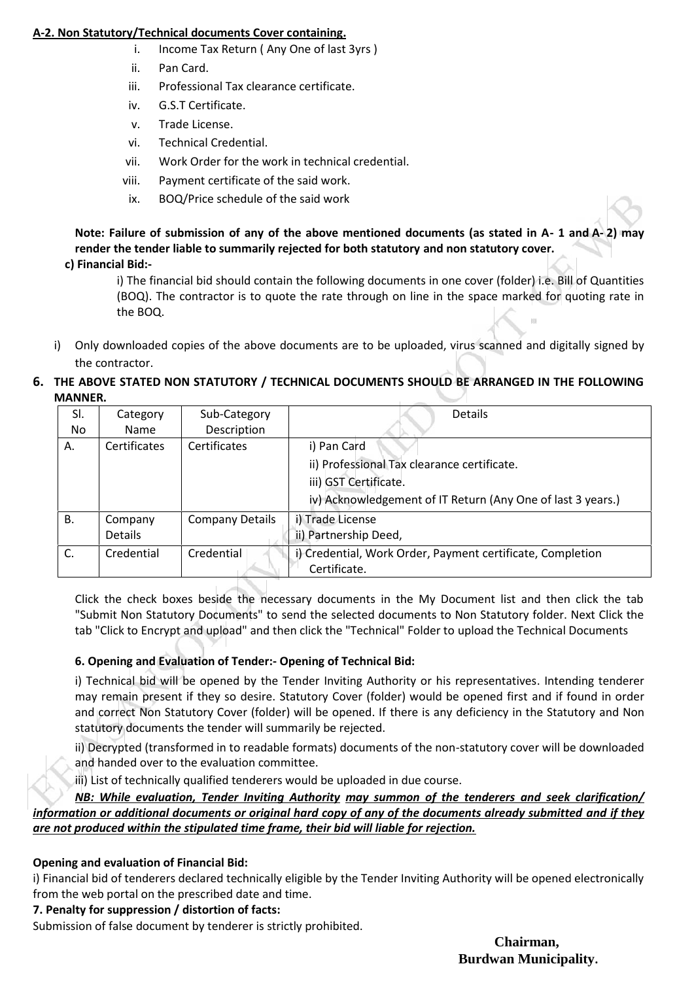## **A-2. Non Statutory/Technical documents Cover containing.**

- i. Income Tax Return ( Any One of last 3yrs )
- ii. Pan Card.
- iii. Professional Tax clearance certificate.
- iv. G.S.T Certificate.
- v. Trade License.
- vi. Technical Credential.
- vii. Work Order for the work in technical credential.
- viii. Payment certificate of the said work.
- ix. BOQ/Price schedule of the said work

**Note: Failure of submission of any of the above mentioned documents (as stated in A- 1 and A- 2) may render the tender liable to summarily rejected for both statutory and non statutory cover. c) Financial Bid:-**

i) The financial bid should contain the following documents in one cover (folder) i.e. Bill of Quantities (BOQ). The contractor is to quote the rate through on line in the space marked for quoting rate in the BOQ.

i) Only downloaded copies of the above documents are to be uploaded, virus scanned and digitally signed by the contractor.

## **6. THE ABOVE STATED NON STATUTORY / TECHNICAL DOCUMENTS SHOULD BE ARRANGED IN THE FOLLOWING MANNER.**

| SI. | Category       | Sub-Category           | <b>Details</b>                                              |  |
|-----|----------------|------------------------|-------------------------------------------------------------|--|
| No. | <b>Name</b>    | Description            |                                                             |  |
| А.  | Certificates   | Certificates           | i) Pan Card                                                 |  |
|     |                |                        | ii) Professional Tax clearance certificate.                 |  |
|     |                |                        | iii) GST Certificate.                                       |  |
|     |                |                        | iv) Acknowledgement of IT Return (Any One of last 3 years.) |  |
| В.  | Company        | <b>Company Details</b> | i) Trade License                                            |  |
|     | <b>Details</b> |                        | ii) Partnership Deed,                                       |  |
| C.  | Credential     | Credential             | i) Credential, Work Order, Payment certificate, Completion  |  |
|     |                |                        | Certificate.                                                |  |

Click the check boxes beside the necessary documents in the My Document list and then click the tab "Submit Non Statutory Documents" to send the selected documents to Non Statutory folder. Next Click the tab "Click to Encrypt and upload" and then click the "Technical" Folder to upload the Technical Documents

# **6. Opening and Evaluation of Tender:- Opening of Technical Bid:**

i) Technical bid will be opened by the Tender Inviting Authority or his representatives. Intending tenderer may remain present if they so desire. Statutory Cover (folder) would be opened first and if found in order and correct Non Statutory Cover (folder) will be opened. If there is any deficiency in the Statutory and Non statutory documents the tender will summarily be rejected.

ii) Decrypted (transformed in to readable formats) documents of the non-statutory cover will be downloaded and handed over to the evaluation committee.

iii) List of technically qualified tenderers would be uploaded in due course.

*NB: While evaluation, Tender Inviting Authority may summon of the tenderers and seek clarification/ information or additional documents or original hard copy of any of the documents already submitted and if they are not produced within the stipulated time frame, their bid will liable for rejection.*

#### **Opening and evaluation of Financial Bid:**

i) Financial bid of tenderers declared technically eligible by the Tender Inviting Authority will be opened electronically from the web portal on the prescribed date and time.

#### **7. Penalty for suppression / distortion of facts:**

Submission of false document by tenderer is strictly prohibited.

**Chairman, Burdwan Municipality.**